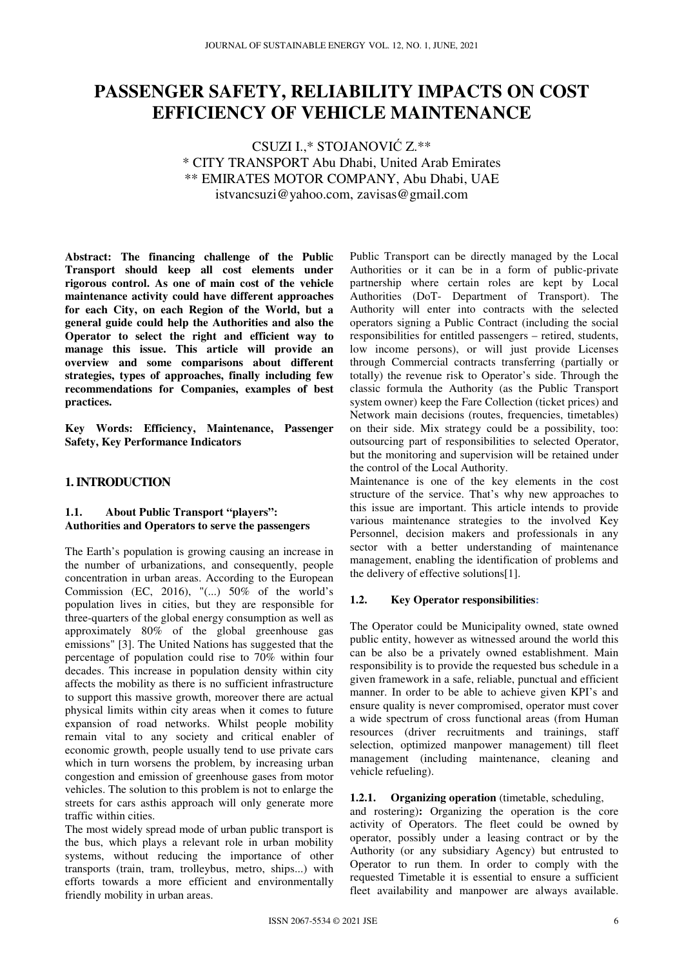# **PASSENGER SAFETY, RELIABILITY IMPACTS ON COST EFFICIENCY OF VEHICLE MAINTENANCE**

# CSUZI I.,\* STOJANOVIĆ Z.\*\* \* CITY TRANSPORT Abu Dhabi, United Arab Emirates \*\* EMIRATES MOTOR COMPANY, Abu Dhabi, UAE istvancsuzi@yahoo.com, zavisas@gmail.com

**Abstract: The financing challenge of the Public Transport should keep all cost elements under rigorous control. As one of main cost of the vehicle maintenance activity could have different approaches for each City, on each Region of the World, but a general guide could help the Authorities and also the Operator to select the right and efficient way to manage this issue. This article will provide an overview and some comparisons about different strategies, types of approaches, finally including few recommendations for Companies, examples of best practices.** 

**Key Words: Efficiency, Maintenance, Passenger Safety, Key Performance Indicators** 

#### **1. INTRODUCTION**

#### **1.1. About Public Transport "players": Authorities and Operators to serve the passengers**

The Earth's population is growing causing an increase in the number of urbanizations, and consequently, people concentration in urban areas. According to the European Commission (EC, 2016), " $(...)$  50% of the world's population lives in cities, but they are responsible for three-quarters of the global energy consumption as well as approximately 80% of the global greenhouse gas emissions" [3]. The United Nations has suggested that the percentage of population could rise to 70% within four decades. This increase in population density within city affects the mobility as there is no sufficient infrastructure to support this massive growth, moreover there are actual physical limits within city areas when it comes to future expansion of road networks. Whilst people mobility remain vital to any society and critical enabler of economic growth, people usually tend to use private cars which in turn worsens the problem, by increasing urban congestion and emission of greenhouse gases from motor vehicles. The solution to this problem is not to enlarge the streets for cars asthis approach will only generate more traffic within cities.

The most widely spread mode of urban public transport is the bus, which plays a relevant role in urban mobility systems, without reducing the importance of other transports (train, tram, trolleybus, metro, ships...) with efforts towards a more efficient and environmentally friendly mobility in urban areas.

Public Transport can be directly managed by the Local Authorities or it can be in a form of public-private partnership where certain roles are kept by Local Authorities (DoT- Department of Transport). The Authority will enter into contracts with the selected operators signing a Public Contract (including the social responsibilities for entitled passengers – retired, students, low income persons), or will just provide Licenses through Commercial contracts transferring (partially or totally) the revenue risk to Operator's side. Through the classic formula the Authority (as the Public Transport system owner) keep the Fare Collection (ticket prices) and Network main decisions (routes, frequencies, timetables) on their side. Mix strategy could be a possibility, too: outsourcing part of responsibilities to selected Operator, but the monitoring and supervision will be retained under the control of the Local Authority.

Maintenance is one of the key elements in the cost structure of the service. That's why new approaches to this issue are important. This article intends to provide various maintenance strategies to the involved Key Personnel, decision makers and professionals in any sector with a better understanding of maintenance management, enabling the identification of problems and the delivery of effective solutions[1].

# **1.2. Key Operator responsibilities:**

The Operator could be Municipality owned, state owned public entity, however as witnessed around the world this can be also be a privately owned establishment. Main responsibility is to provide the requested bus schedule in a given framework in a safe, reliable, punctual and efficient manner. In order to be able to achieve given KPI's and ensure quality is never compromised, operator must cover a wide spectrum of cross functional areas (from Human resources (driver recruitments and trainings, staff selection, optimized manpower management) till fleet management (including maintenance, cleaning and vehicle refueling).

#### **1.2.1. Organizing operation** (timetable, scheduling,

and rostering)**:** Organizing the operation is the core activity of Operators. The fleet could be owned by operator, possibly under a leasing contract or by the Authority (or any subsidiary Agency) but entrusted to Operator to run them. In order to comply with the requested Timetable it is essential to ensure a sufficient fleet availability and manpower are always available.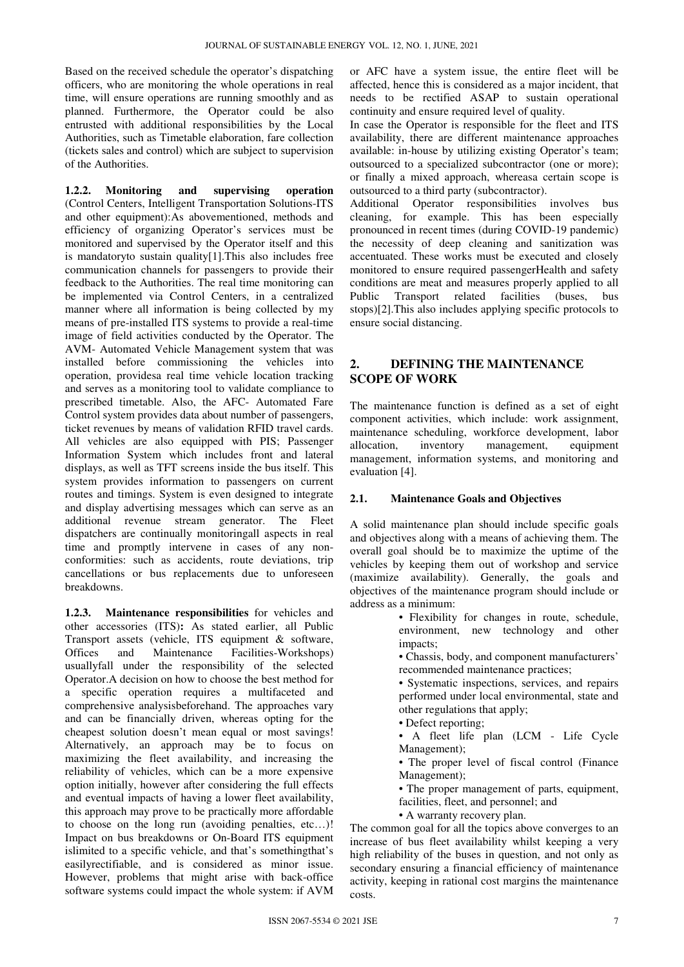Based on the received schedule the operator's dispatching officers, who are monitoring the whole operations in real time, will ensure operations are running smoothly and as planned. Furthermore, the Operator could be also entrusted with additional responsibilities by the Local Authorities, such as Timetable elaboration, fare collection (tickets sales and control) which are subject to supervision of the Authorities.

**1.2.2. Monitoring and supervising operation** (Control Centers, Intelligent Transportation Solutions-ITS and other equipment):As abovementioned, methods and efficiency of organizing Operator's services must be monitored and supervised by the Operator itself and this is mandatoryto sustain quality[1].This also includes free communication channels for passengers to provide their feedback to the Authorities. The real time monitoring can be implemented via Control Centers, in a centralized manner where all information is being collected by my means of pre-installed ITS systems to provide a real-time image of field activities conducted by the Operator. The AVM- Automated Vehicle Management system that was installed before commissioning the vehicles into operation, providesa real time vehicle location tracking and serves as a monitoring tool to validate compliance to prescribed timetable. Also, the AFC- Automated Fare Control system provides data about number of passengers, ticket revenues by means of validation RFID travel cards. All vehicles are also equipped with PIS; Passenger Information System which includes front and lateral displays, as well as TFT screens inside the bus itself. This system provides information to passengers on current routes and timings. System is even designed to integrate and display advertising messages which can serve as an additional revenue stream generator. The Fleet dispatchers are continually monitoringall aspects in real time and promptly intervene in cases of any nonconformities: such as accidents, route deviations, trip cancellations or bus replacements due to unforeseen breakdowns.

**1.2.3. Maintenance responsibilities** for vehicles and other accessories (ITS)**:** As stated earlier, all Public Transport assets (vehicle, ITS equipment & software, and Maintenance Facilities-Workshops) usuallyfall under the responsibility of the selected Operator.A decision on how to choose the best method for a specific operation requires a multifaceted and comprehensive analysisbeforehand. The approaches vary and can be financially driven, whereas opting for the cheapest solution doesn't mean equal or most savings! Alternatively, an approach may be to focus on maximizing the fleet availability, and increasing the reliability of vehicles, which can be a more expensive option initially, however after considering the full effects and eventual impacts of having a lower fleet availability, this approach may prove to be practically more affordable to choose on the long run (avoiding penalties, etc…)! Impact on bus breakdowns or On-Board ITS equipment islimited to a specific vehicle, and that's somethingthat's easilyrectifiable, and is considered as minor issue. However, problems that might arise with back-office software systems could impact the whole system: if AVM

or AFC have a system issue, the entire fleet will be affected, hence this is considered as a major incident, that needs to be rectified ASAP to sustain operational continuity and ensure required level of quality.

In case the Operator is responsible for the fleet and ITS availability, there are different maintenance approaches available: in-house by utilizing existing Operator's team; outsourced to a specialized subcontractor (one or more); or finally a mixed approach, whereasa certain scope is outsourced to a third party (subcontractor).

Additional Operator responsibilities involves bus cleaning, for example. This has been especially pronounced in recent times (during COVID-19 pandemic) the necessity of deep cleaning and sanitization was accentuated. These works must be executed and closely monitored to ensure required passengerHealth and safety conditions are meat and measures properly applied to all Public Transport related facilities (buses, bus stops)[2].This also includes applying specific protocols to ensure social distancing.

# **2. DEFINING THE MAINTENANCE SCOPE OF WORK**

The maintenance function is defined as a set of eight component activities, which include: work assignment, maintenance scheduling, workforce development, labor allocation, inventory management, equipment management, information systems, and monitoring and evaluation [4].

#### **2.1. Maintenance Goals and Objectives**

A solid maintenance plan should include specific goals and objectives along with a means of achieving them. The overall goal should be to maximize the uptime of the vehicles by keeping them out of workshop and service (maximize availability). Generally, the goals and objectives of the maintenance program should include or address as a minimum:

> • Flexibility for changes in route, schedule, environment, new technology and other impacts;

• Chassis, body, and component manufacturers' recommended maintenance practices;

• Systematic inspections, services, and repairs performed under local environmental, state and other regulations that apply;

• Defect reporting;

• A fleet life plan (LCM - Life Cycle Management);

• The proper level of fiscal control (Finance Management);

• The proper management of parts, equipment,

facilities, fleet, and personnel; and

• A warranty recovery plan.

The common goal for all the topics above converges to an increase of bus fleet availability whilst keeping a very high reliability of the buses in question, and not only as secondary ensuring a financial efficiency of maintenance activity, keeping in rational cost margins the maintenance costs.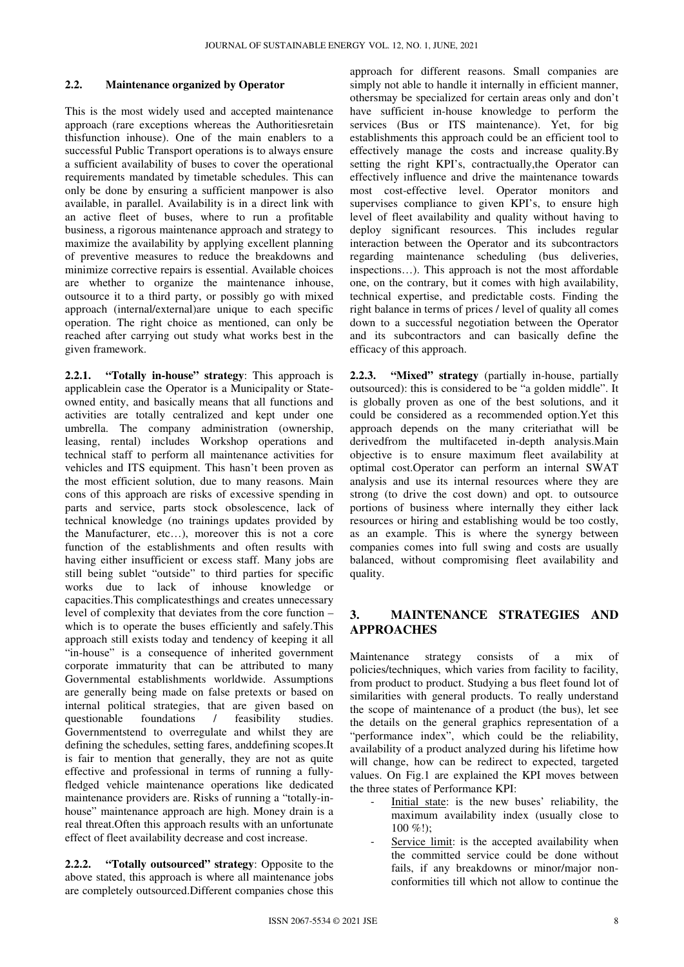#### **2.2. Maintenance organized by Operator**

This is the most widely used and accepted maintenance approach (rare exceptions whereas the Authoritiesretain thisfunction inhouse). One of the main enablers to a successful Public Transport operations is to always ensure a sufficient availability of buses to cover the operational requirements mandated by timetable schedules. This can only be done by ensuring a sufficient manpower is also available, in parallel. Availability is in a direct link with an active fleet of buses, where to run a profitable business, a rigorous maintenance approach and strategy to maximize the availability by applying excellent planning of preventive measures to reduce the breakdowns and minimize corrective repairs is essential. Available choices are whether to organize the maintenance inhouse, outsource it to a third party, or possibly go with mixed approach (internal/external)are unique to each specific operation. The right choice as mentioned, can only be reached after carrying out study what works best in the given framework.

**2.2.1. "Totally in-house" strategy**: This approach is applicablein case the Operator is a Municipality or Stateowned entity, and basically means that all functions and activities are totally centralized and kept under one umbrella. The company administration (ownership, leasing, rental) includes Workshop operations and technical staff to perform all maintenance activities for vehicles and ITS equipment. This hasn't been proven as the most efficient solution, due to many reasons. Main cons of this approach are risks of excessive spending in parts and service, parts stock obsolescence, lack of technical knowledge (no trainings updates provided by the Manufacturer, etc…), moreover this is not a core function of the establishments and often results with having either insufficient or excess staff. Many jobs are still being sublet "outside" to third parties for specific works due to lack of inhouse knowledge or capacities.This complicatesthings and creates unnecessary level of complexity that deviates from the core function – which is to operate the buses efficiently and safely.This approach still exists today and tendency of keeping it all "in-house" is a consequence of inherited government corporate immaturity that can be attributed to many Governmental establishments worldwide. Assumptions are generally being made on false pretexts or based on internal political strategies, that are given based on questionable foundations / feasibility studies. Governmentstend to overregulate and whilst they are defining the schedules, setting fares, anddefining scopes.It is fair to mention that generally, they are not as quite effective and professional in terms of running a fullyfledged vehicle maintenance operations like dedicated maintenance providers are. Risks of running a "totally-inhouse" maintenance approach are high. Money drain is a real threat.Often this approach results with an unfortunate effect of fleet availability decrease and cost increase.

**2.2.2. "Totally outsourced" strategy**: Opposite to the above stated, this approach is where all maintenance jobs are completely outsourced.Different companies chose this

approach for different reasons. Small companies are simply not able to handle it internally in efficient manner, othersmay be specialized for certain areas only and don't have sufficient in-house knowledge to perform the services (Bus or ITS maintenance). Yet, for big establishments this approach could be an efficient tool to effectively manage the costs and increase quality.By setting the right KPI's, contractually,the Operator can effectively influence and drive the maintenance towards most cost-effective level. Operator monitors and supervises compliance to given KPI's, to ensure high level of fleet availability and quality without having to deploy significant resources. This includes regular interaction between the Operator and its subcontractors regarding maintenance scheduling (bus deliveries, inspections…). This approach is not the most affordable one, on the contrary, but it comes with high availability, technical expertise, and predictable costs. Finding the right balance in terms of prices / level of quality all comes down to a successful negotiation between the Operator and its subcontractors and can basically define the efficacy of this approach.

**2.2.3. "Mixed" strategy** (partially in-house, partially outsourced): this is considered to be "a golden middle". It is globally proven as one of the best solutions, and it could be considered as a recommended option.Yet this approach depends on the many criteriathat will be derivedfrom the multifaceted in-depth analysis.Main objective is to ensure maximum fleet availability at optimal cost.Operator can perform an internal SWAT analysis and use its internal resources where they are strong (to drive the cost down) and opt. to outsource portions of business where internally they either lack resources or hiring and establishing would be too costly, as an example. This is where the synergy between companies comes into full swing and costs are usually balanced, without compromising fleet availability and quality.

# **3. MAINTENANCE STRATEGIES AND APPROACHES**

Maintenance strategy consists of a mix of policies/techniques, which varies from facility to facility, from product to product. Studying a bus fleet found lot of similarities with general products. To really understand the scope of maintenance of a product (the bus), let see the details on the general graphics representation of a "performance index", which could be the reliability, availability of a product analyzed during his lifetime how will change, how can be redirect to expected, targeted values. On Fig.1 are explained the KPI moves between the three states of Performance KPI:

- Initial state: is the new buses' reliability, the maximum availability index (usually close to  $100\%$ !):
- Service limit: is the accepted availability when the committed service could be done without fails, if any breakdowns or minor/major nonconformities till which not allow to continue the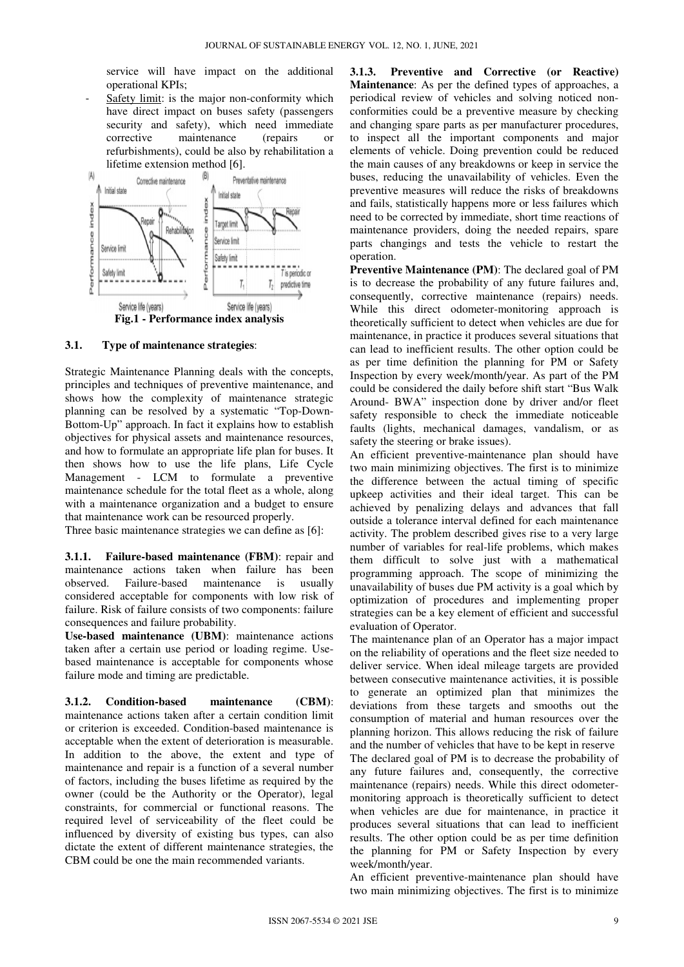service will have impact on the additional operational KPIs; service will have impact on the additional<br>operational KPIs;<br>- <u>Safety limit</u>: is the major non-conformity which

have direct impact on buses safety (passengers security and safety), which need immediate corrective maintenance (repairs or refurbishments), could be also by rehabilitation a lifetime extension method [6].



#### **3.1. Type of maintenance strategies** :

Strategic Maintenance Planning deals with the concepts, principles and techniques of preventive maintenance, and shows how the complexity of maintenance strategic planning can be resolved by a systematic "Top-Down-Bottom-Up" approach. In fact it explains how to establish objectives for physical assets and maintenance resources, and how to formulate an appropriate life plan for buses. It then shows how to use the life plans, Life Cycle Management - LCM to formulate a preventive maintenance schedule for the total fleet as a whole, along with a maintenance organization and a budget to ensure that maintenance work can be resourced properly. otal fleet as a whole, alon<br>on and a budget to ensure<br>resourced properly.<br>gies we can define as [6]:

Three basic maintenance strategies we can define as [6]:

**3.1.1.** Failure-based maintenance (FBM): repair and maintenance actions taken when failure has been observed. Failure-based maintenance is usually considered acceptable for components with low risk of failure. Risk of failure consists of two components: failure consequences and failure probability. based maintenance is usually<br>le for components with low risk of<br>e consists of two components: failure<br>lure probability.<br>**ance (UBM)**: maintenance actions<br>use period or loading regime. Use-

**Use-based maintenance (UBM)**: maintenance actions taken after a certain use period or loading regime. Use based maintenance is acceptable for components whose failure mode and timing are predictable.

**3.1.2. Condition-based maintenance (CBM)** maintenance actions taken after a certain condition limit or criterion is exceeded. Condition-based maintenance is acceptable when the extent of deterioration is measurable. In addition to the above, the extent and type of maintenance and repair is a function of a several number of factors, including the buses lifetime as required by the owner (could be the Authority or the Operator), legal constraints, for commercial or functional reasons. The required level of serviceability of the fleet could be influenced by diversity of existing bus types, can also dictate the extent of different maintenance strategies, the CBM could be one the main recommended variants. maintenance

Maintenance: As per the defined types of approaches, a periodical review of vehicles and solving noticed nonconformities could be a preventive measure by checking and changing spare parts as per manufacturer procedures, to inspect all the important components and major elements of vehicle. Doing prevention could be reduced the main causes of any breakdowns or keep in service the buses, reducing the unavailability of vehicles. Even the preventive measures will reduce the risks of breakdowns and fails, statistically happens more or less failures which need to be corrected by immediate, short time reactions of maintenance providers, doing the needed repairs, spare parts changings and tests the vehicle to restart the operation.

**Preventive Maintenance (PM)** : The declared goal of PM is to decrease the probability of any future failures and, consequently, corrective maintenance (repairs) needs. While this direct odometer-monitoring approach is theoretically sufficient to detect when vehicles are due for maintenance, in practice it produces several situations that can lead to inefficient results. The other option could be as per time definition the planning for PM or Safety Inspection by every week/month/year. As part of the PM could be considered the daily before shift start "Bus Walk Around- BWA" inspection done by driver and/or fleet safety responsible to check the immediate noticeable faults (lights, mechanical damages, vandalism, or as safety the steering or brake issues).

An efficient preventive-maintenance plan should have An efficient preventive-maintenance plan should have<br>two main minimizing objectives. The first is to minimize the difference between the actual timing of specific upkeep activities and their ideal target. This can be achieved by penalizing delays and advances that fall outside a tolerance interval defined for each maintenance activity. The problem described gives rise to a very large number of variables for real-life problems, which makes them difficult to solve just with a mathematical programming approach. The scope of minimizing the unavailability of buses due PM activity is a goal which by optimization of procedures and implementing proper strategies can be a key element of efficient and successful evaluation of Operator. ivity. The problem described gives rise to a very large<br>mber of variables for real-life problems, which makes<br>m difficult to solve just with a mathematical<br>gramming approach. The scope of minimizing the<br>wailability of buse

**EXERCTS** SERVING THE IMPLEME INTERFERITURE INTERFERITURE INTERFERITURE IN THE IMPLEME INTERFERITURE CONTINUES IN CORRECTIVE THE INTERFERITURE IS NOT A CONTINUES INTERFERITURE IS NOT A CORRECTIVE THE INTERFERITURE CONTINU The maintenance plan of an Operator has a major impact on the reliability of operations and the fleet size needed to deliver service. When ideal mileage targets are provided between consecutive maintenance activities, it is possible to generate an optimized plan that minimizes the deviations from these targets and smooths out the consumption of material and human resources ove planning horizon. This allows reducing the risk of failure and the number of vehicles that have to be kept in reserve The declared goal of PM is to decrease the probability of any future failures and, consequently, the corrective maintenance (repairs) needs. While this direct odometermonitoring approach is theoretically sufficient to detect when vehicles are due for maintenance, in practice it produces several situations that can lead to inefficient results. The other option could be as per time definition the planning for PM or Safety Inspection by every week/month/year.

> An efficient preventive-maintenance plan should have two main minimizing objectives. The first is to minimize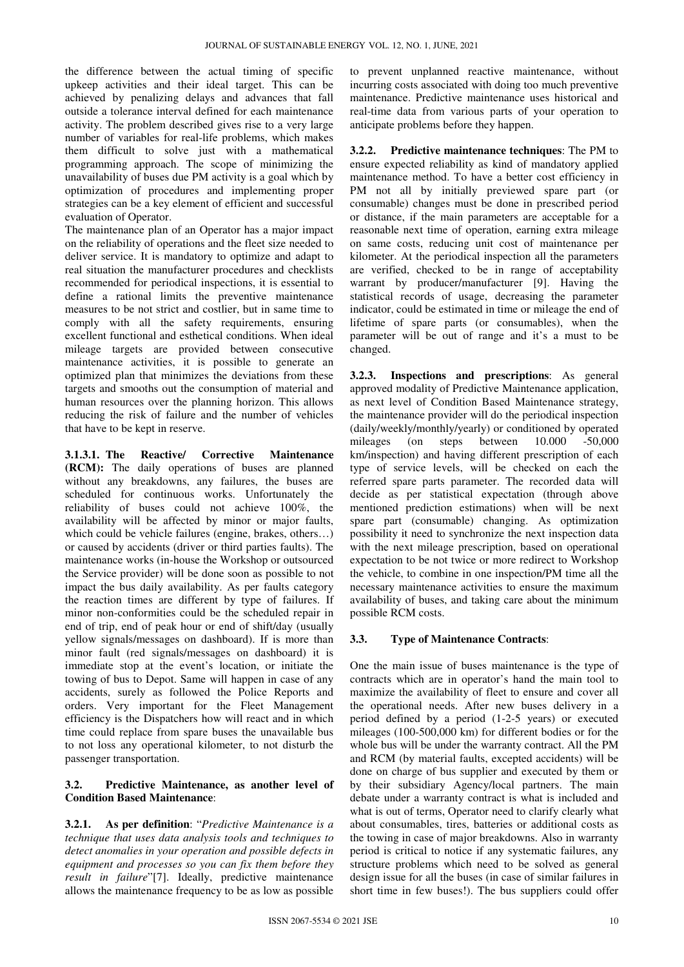the difference between the actual timing of specific upkeep activities and their ideal target. This can be achieved by penalizing delays and advances that fall outside a tolerance interval defined for each maintenance activity. The problem described gives rise to a very large number of variables for real-life problems, which makes them difficult to solve just with a mathematical programming approach. The scope of minimizing the unavailability of buses due PM activity is a goal which by optimization of procedures and implementing proper strategies can be a key element of efficient and successful evaluation of Operator.

The maintenance plan of an Operator has a major impact on the reliability of operations and the fleet size needed to deliver service. It is mandatory to optimize and adapt to real situation the manufacturer procedures and checklists recommended for periodical inspections, it is essential to define a rational limits the preventive maintenance measures to be not strict and costlier, but in same time to comply with all the safety requirements, ensuring excellent functional and esthetical conditions. When ideal mileage targets are provided between consecutive maintenance activities, it is possible to generate an optimized plan that minimizes the deviations from these targets and smooths out the consumption of material and human resources over the planning horizon. This allows reducing the risk of failure and the number of vehicles that have to be kept in reserve.

**3.1.3.1. The Reactive/ Corrective Maintenance (RCM):** The daily operations of buses are planned without any breakdowns, any failures, the buses are scheduled for continuous works. Unfortunately the reliability of buses could not achieve 100%, the availability will be affected by minor or major faults, which could be vehicle failures (engine, brakes, others…) or caused by accidents (driver or third parties faults). The maintenance works (in-house the Workshop or outsourced the Service provider) will be done soon as possible to not impact the bus daily availability. As per faults category the reaction times are different by type of failures. If minor non-conformities could be the scheduled repair in end of trip, end of peak hour or end of shift/day (usually yellow signals/messages on dashboard). If is more than minor fault (red signals/messages on dashboard) it is immediate stop at the event's location, or initiate the towing of bus to Depot. Same will happen in case of any accidents, surely as followed the Police Reports and orders. Very important for the Fleet Management efficiency is the Dispatchers how will react and in which time could replace from spare buses the unavailable bus to not loss any operational kilometer, to not disturb the passenger transportation.

#### **3.2. Predictive Maintenance, as another level of Condition Based Maintenance**:

**3.2.1. As per definition**: "*Predictive Maintenance is a technique that uses data analysis tools and techniques to detect anomalies in your operation and possible defects in equipment and processes so you can fix them before they result in failure*"[7]. Ideally, predictive maintenance allows the maintenance frequency to be as low as possible

to prevent unplanned reactive maintenance, without incurring costs associated with doing too much preventive maintenance. Predictive maintenance uses historical and real-time data from various parts of your operation to anticipate problems before they happen.

**3.2.2. Predictive maintenance techniques**: The PM to ensure expected reliability as kind of mandatory applied maintenance method. To have a better cost efficiency in PM not all by initially previewed spare part (or consumable) changes must be done in prescribed period or distance, if the main parameters are acceptable for a reasonable next time of operation, earning extra mileage on same costs, reducing unit cost of maintenance per kilometer. At the periodical inspection all the parameters are verified, checked to be in range of acceptability warrant by producer/manufacturer [9]. Having the statistical records of usage, decreasing the parameter indicator, could be estimated in time or mileage the end of lifetime of spare parts (or consumables), when the parameter will be out of range and it's a must to be changed.

**3.2.3. Inspections and prescriptions**: As general approved modality of Predictive Maintenance application, as next level of Condition Based Maintenance strategy, the maintenance provider will do the periodical inspection (daily/weekly/monthly/yearly) or conditioned by operated mileages (on steps between 10.000 -50,000 km/inspection) and having different prescription of each type of service levels, will be checked on each the referred spare parts parameter. The recorded data will decide as per statistical expectation (through above mentioned prediction estimations) when will be next spare part (consumable) changing. As optimization possibility it need to synchronize the next inspection data with the next mileage prescription, based on operational expectation to be not twice or more redirect to Workshop the vehicle, to combine in one inspection/PM time all the necessary maintenance activities to ensure the maximum availability of buses, and taking care about the minimum possible RCM costs.

#### **3.3. Type of Maintenance Contracts**:

One the main issue of buses maintenance is the type of contracts which are in operator's hand the main tool to maximize the availability of fleet to ensure and cover all the operational needs. After new buses delivery in a period defined by a period (1-2-5 years) or executed mileages (100-500,000 km) for different bodies or for the whole bus will be under the warranty contract. All the PM and RCM (by material faults, excepted accidents) will be done on charge of bus supplier and executed by them or by their subsidiary Agency/local partners. The main debate under a warranty contract is what is included and what is out of terms, Operator need to clarify clearly what about consumables, tires, batteries or additional costs as the towing in case of major breakdowns. Also in warranty period is critical to notice if any systematic failures, any structure problems which need to be solved as general design issue for all the buses (in case of similar failures in short time in few buses!). The bus suppliers could offer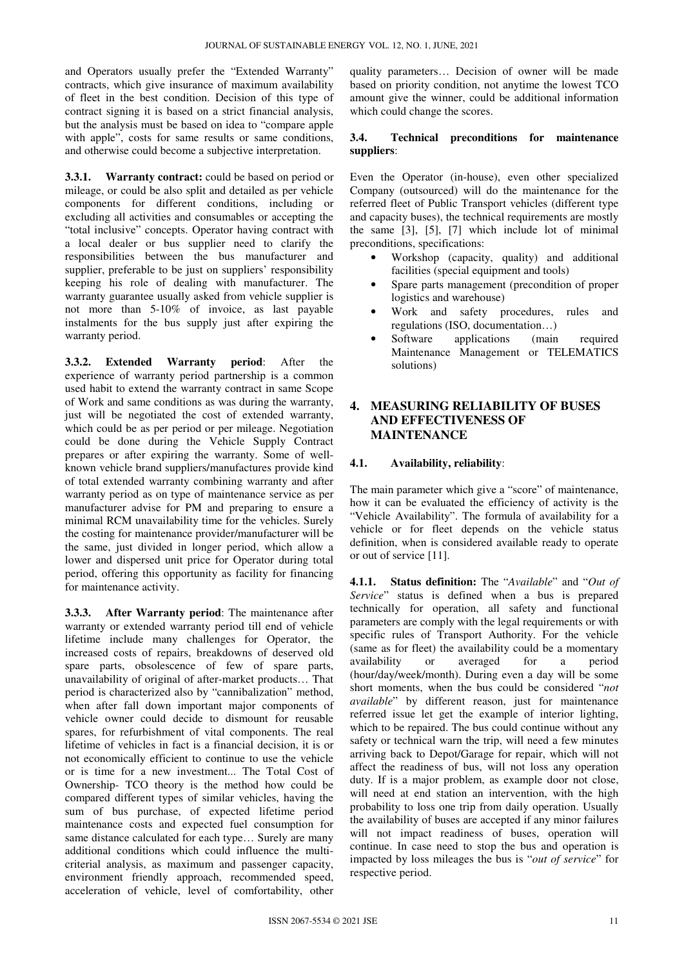and Operators usually prefer the "Extended Warranty" contracts, which give insurance of maximum availability of fleet in the best condition. Decision of this type of contract signing it is based on a strict financial analysis, but the analysis must be based on idea to "compare apple with apple", costs for same results or same conditions, and otherwise could become a subjective interpretation.

**3.3.1. Warranty contract:** could be based on period or mileage, or could be also split and detailed as per vehicle components for different conditions, including or excluding all activities and consumables or accepting the "total inclusive" concepts. Operator having contract with a local dealer or bus supplier need to clarify the responsibilities between the bus manufacturer and supplier, preferable to be just on suppliers' responsibility keeping his role of dealing with manufacturer. The warranty guarantee usually asked from vehicle supplier is not more than 5-10% of invoice, as last payable instalments for the bus supply just after expiring the warranty period.

**3.3.2. Extended Warranty period**: After the experience of warranty period partnership is a common used habit to extend the warranty contract in same Scope of Work and same conditions as was during the warranty, just will be negotiated the cost of extended warranty, which could be as per period or per mileage. Negotiation could be done during the Vehicle Supply Contract prepares or after expiring the warranty. Some of wellknown vehicle brand suppliers/manufactures provide kind of total extended warranty combining warranty and after warranty period as on type of maintenance service as per manufacturer advise for PM and preparing to ensure a minimal RCM unavailability time for the vehicles. Surely the costing for maintenance provider/manufacturer will be the same, just divided in longer period, which allow a lower and dispersed unit price for Operator during total period, offering this opportunity as facility for financing for maintenance activity.

**3.3.3. After Warranty period**: The maintenance after warranty or extended warranty period till end of vehicle lifetime include many challenges for Operator, the increased costs of repairs, breakdowns of deserved old spare parts, obsolescence of few of spare parts, unavailability of original of after-market products… That period is characterized also by "cannibalization" method, when after fall down important major components of vehicle owner could decide to dismount for reusable spares, for refurbishment of vital components. The real lifetime of vehicles in fact is a financial decision, it is or not economically efficient to continue to use the vehicle or is time for a new investment... The Total Cost of Ownership- TCO theory is the method how could be compared different types of similar vehicles, having the sum of bus purchase, of expected lifetime period maintenance costs and expected fuel consumption for same distance calculated for each type… Surely are many additional conditions which could influence the multicriterial analysis, as maximum and passenger capacity, environment friendly approach, recommended speed, acceleration of vehicle, level of comfortability, other

quality parameters… Decision of owner will be made based on priority condition, not anytime the lowest TCO amount give the winner, could be additional information which could change the scores.

#### **3.4. Technical preconditions for maintenance suppliers**:

Even the Operator (in-house), even other specialized Company (outsourced) will do the maintenance for the referred fleet of Public Transport vehicles (different type and capacity buses), the technical requirements are mostly the same [3], [5], [7] which include lot of minimal preconditions, specifications:

- Workshop (capacity, quality) and additional facilities (special equipment and tools)
- Spare parts management (precondition of proper logistics and warehouse)
- Work and safety procedures, rules and regulations (ISO, documentation…)
- Software applications (main required Maintenance Management or TELEMATICS solutions)

#### **4. MEASURING RELIABILITY OF BUSES AND EFFECTIVENESS OF MAINTENANCE**

#### **4.1. Availability, reliability**:

The main parameter which give a "score" of maintenance, how it can be evaluated the efficiency of activity is the "Vehicle Availability". The formula of availability for a vehicle or for fleet depends on the vehicle status definition, when is considered available ready to operate or out of service [11].

**4.1.1. Status definition:** The "*Available*" and "*Out of Service*" status is defined when a bus is prepared technically for operation, all safety and functional parameters are comply with the legal requirements or with specific rules of Transport Authority. For the vehicle (same as for fleet) the availability could be a momentary availability or averaged for a period (hour/day/week/month). During even a day will be some short moments, when the bus could be considered "*not available*" by different reason, just for maintenance referred issue let get the example of interior lighting, which to be repaired. The bus could continue without any safety or technical warn the trip, will need a few minutes arriving back to Depot/Garage for repair, which will not affect the readiness of bus, will not loss any operation duty. If is a major problem, as example door not close, will need at end station an intervention, with the high probability to loss one trip from daily operation. Usually the availability of buses are accepted if any minor failures will not impact readiness of buses, operation will continue. In case need to stop the bus and operation is impacted by loss mileages the bus is "*out of service*" for respective period.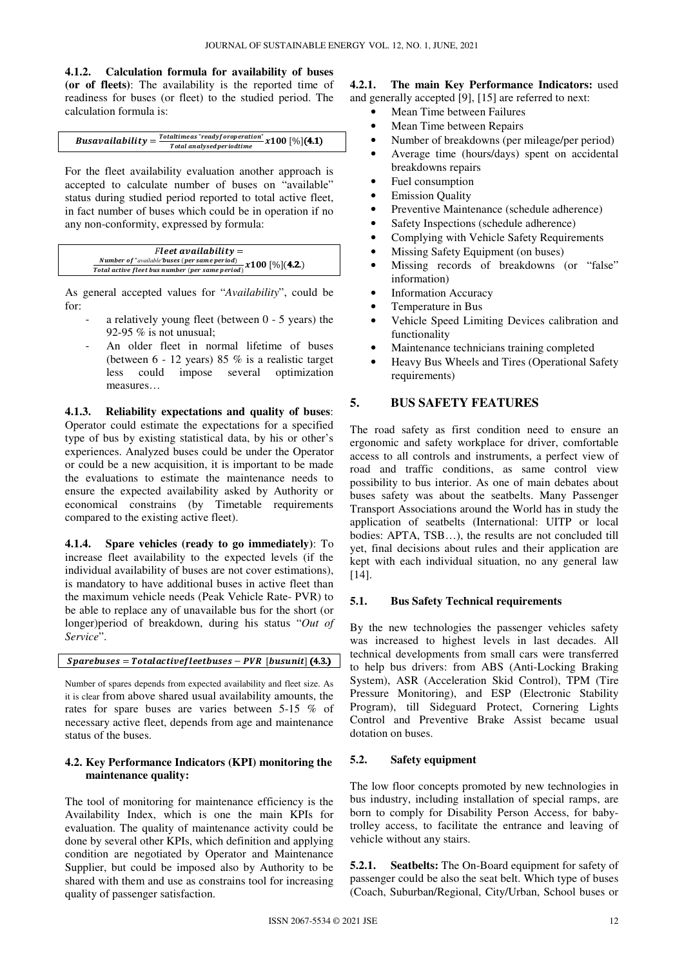**4.1.2. Calculation formula for availability of buses** 

**(or of fleets)**: The availability is the reported time of readiness for buses (or fleet) to the studied period. The calculation formula is:

#### **Busavailability** =  $\frac{Total time as "readyfor operation"}{Total we have divided time} x100 [%]$ (4.1) Total analysedperiodtime

For the fleet availability evaluation another approach is accepted to calculate number of buses on "available" status during studied period reported to total active fleet, in fact number of buses which could be in operation if no any non-conformity, expressed by formula:

| $Fleet$ availability =                                                                  |  |
|-----------------------------------------------------------------------------------------|--|
| <b>Number of "available'buses (per same period)</b><br>$\frac{1}{2}$ x 100 $[\%](4.2.)$ |  |
| Total active fleet bus number (per same period)                                         |  |

As general accepted values for "*Availability*", could be for:

- a relatively young fleet (between  $0 5$  years) the 92-95 % is not unusual;
- An older fleet in normal lifetime of buses (between 6 - 12 years) 85 % is a realistic target less could impose several optimization measures…

**4.1.3. Reliability expectations and quality of buses**: Operator could estimate the expectations for a specified type of bus by existing statistical data, by his or other's experiences. Analyzed buses could be under the Operator or could be a new acquisition, it is important to be made the evaluations to estimate the maintenance needs to ensure the expected availability asked by Authority or economical constrains (by Timetable requirements compared to the existing active fleet).

**4.1.4. Spare vehicles (ready to go immediately)**: To increase fleet availability to the expected levels (if the individual availability of buses are not cover estimations), is mandatory to have additional buses in active fleet than the maximum vehicle needs (Peak Vehicle Rate- PVR) to be able to replace any of unavailable bus for the short (or longer)period of breakdown, during his status "*Out of Service*".

 $Sparebuses = Totalactive file et buses - PVR [busunit] (4.3.)$ 

Number of spares depends from expected availability and fleet size. As it is clear from above shared usual availability amounts, the rates for spare buses are varies between 5-15 % of necessary active fleet, depends from age and maintenance status of the buses.

#### **4.2. Key Performance Indicators (KPI) monitoring the maintenance quality:**

The tool of monitoring for maintenance efficiency is the Availability Index, which is one the main KPIs for evaluation. The quality of maintenance activity could be done by several other KPIs, which definition and applying condition are negotiated by Operator and Maintenance Supplier, but could be imposed also by Authority to be shared with them and use as constrains tool for increasing quality of passenger satisfaction.

#### **4.2.1. The main Key Performance Indicators:** used and generally accepted [9], [15] are referred to next:

- Mean Time between Failures
- Mean Time between Repairs
- Number of breakdowns (per mileage/per period)
- Average time (hours/days) spent on accidental breakdowns repairs
- Fuel consumption
- **Emission Quality**
- Preventive Maintenance (schedule adherence)
- Safety Inspections (schedule adherence)
- Complying with Vehicle Safety Requirements
- Missing Safety Equipment (on buses)
- Missing records of breakdowns (or "false" information)
- **Information Accuracy**
- Temperature in Bus
- Vehicle Speed Limiting Devices calibration and functionality
- Maintenance technicians training completed
- Heavy Bus Wheels and Tires (Operational Safety requirements)

#### **5. BUS SAFETY FEATURES**

The road safety as first condition need to ensure an ergonomic and safety workplace for driver, comfortable access to all controls and instruments, a perfect view of road and traffic conditions, as same control view possibility to bus interior. As one of main debates about buses safety was about the seatbelts. Many Passenger Transport Associations around the World has in study the application of seatbelts (International: UITP or local bodies: APTA, TSB…), the results are not concluded till yet, final decisions about rules and their application are kept with each individual situation, no any general law [14].

#### **5.1. Bus Safety Technical requirements**

By the new technologies the passenger vehicles safety was increased to highest levels in last decades. All technical developments from small cars were transferred to help bus drivers: from ABS (Anti-Locking Braking System), ASR (Acceleration Skid Control), TPM (Tire Pressure Monitoring), and ESP (Electronic Stability Program), till Sideguard Protect, Cornering Lights Control and Preventive Brake Assist became usual dotation on buses.

#### **5.2. Safety equipment**

The low floor concepts promoted by new technologies in bus industry, including installation of special ramps, are born to comply for Disability Person Access, for babytrolley access, to facilitate the entrance and leaving of vehicle without any stairs.

**5.2.1. Seatbelts:** The On-Board equipment for safety of passenger could be also the seat belt. Which type of buses (Coach, Suburban/Regional, City/Urban, School buses or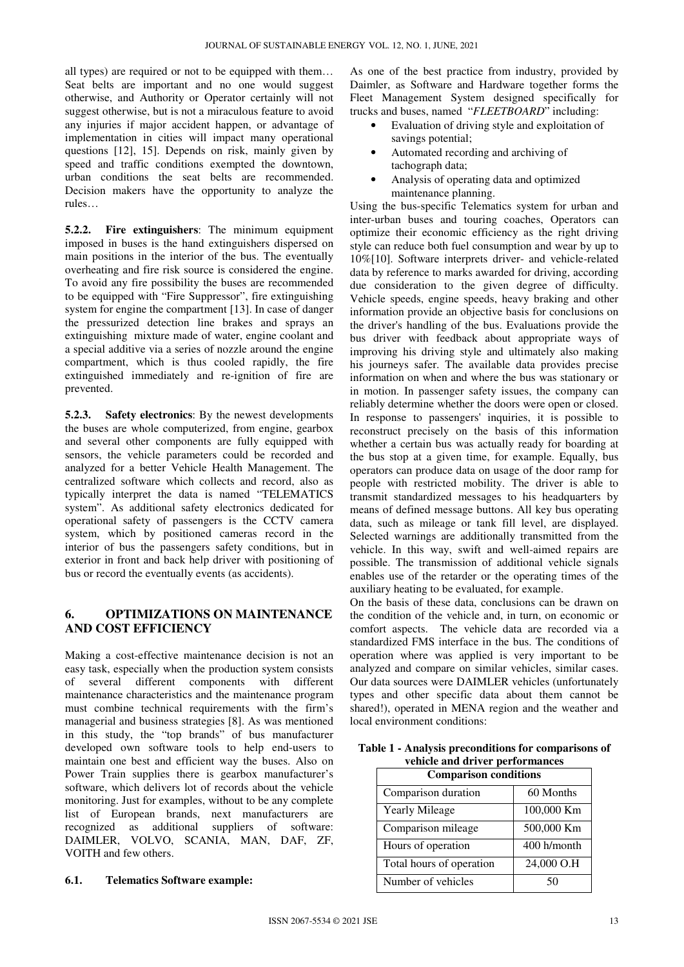all types) are required or not to be equipped with them… Seat belts are important and no one would suggest otherwise, and Authority or Operator certainly will not suggest otherwise, but is not a miraculous feature to avoid any injuries if major accident happen, or advantage of implementation in cities will impact many operational questions [12], 15]. Depends on risk, mainly given by speed and traffic conditions exempted the downtown, urban conditions the seat belts are recommended. Decision makers have the opportunity to analyze the rules…

**5.2.2. Fire extinguishers**: The minimum equipment imposed in buses is the hand extinguishers dispersed on main positions in the interior of the bus. The eventually overheating and fire risk source is considered the engine. To avoid any fire possibility the buses are recommended to be equipped with "Fire Suppressor", fire extinguishing system for engine the compartment [13]. In case of danger the pressurized detection line brakes and sprays an extinguishing mixture made of water, engine coolant and a special additive via a series of nozzle around the engine compartment, which is thus cooled rapidly, the fire extinguished immediately and re-ignition of fire are prevented.

**5.2.3. Safety electronics**: By the newest developments the buses are whole computerized, from engine, gearbox and several other components are fully equipped with sensors, the vehicle parameters could be recorded and analyzed for a better Vehicle Health Management. The centralized software which collects and record, also as typically interpret the data is named "TELEMATICS system". As additional safety electronics dedicated for operational safety of passengers is the CCTV camera system, which by positioned cameras record in the interior of bus the passengers safety conditions, but in exterior in front and back help driver with positioning of bus or record the eventually events (as accidents).

# **6. OPTIMIZATIONS ON MAINTENANCE AND COST EFFICIENCY**

Making a cost-effective maintenance decision is not an easy task, especially when the production system consists of several different components with different maintenance characteristics and the maintenance program must combine technical requirements with the firm's managerial and business strategies [8]. As was mentioned in this study, the "top brands" of bus manufacturer developed own software tools to help end-users to maintain one best and efficient way the buses. Also on Power Train supplies there is gearbox manufacturer's software, which delivers lot of records about the vehicle monitoring. Just for examples, without to be any complete list of European brands, next manufacturers are recognized as additional suppliers of software: DAIMLER, VOLVO, SCANIA, MAN, DAF, ZF, VOITH and few others.

#### **6.1. Telematics Software example:**

As one of the best practice from industry, provided by Daimler, as Software and Hardware together forms the Fleet Management System designed specifically for trucks and buses, named "*FLEETBOARD*" including:

- Evaluation of driving style and exploitation of savings potential;
- Automated recording and archiving of tachograph data;
- Analysis of operating data and optimized maintenance planning.

Using the bus-specific Telematics system for urban and inter-urban buses and touring coaches, Operators can optimize their economic efficiency as the right driving style can reduce both fuel consumption and wear by up to 10%[10]. Software interprets driver- and vehicle-related data by reference to marks awarded for driving, according due consideration to the given degree of difficulty. Vehicle speeds, engine speeds, heavy braking and other information provide an objective basis for conclusions on the driver's handling of the bus. Evaluations provide the bus driver with feedback about appropriate ways of improving his driving style and ultimately also making his journeys safer. The available data provides precise information on when and where the bus was stationary or in motion. In passenger safety issues, the company can reliably determine whether the doors were open or closed. In response to passengers' inquiries, it is possible to reconstruct precisely on the basis of this information whether a certain bus was actually ready for boarding at the bus stop at a given time, for example. Equally, bus operators can produce data on usage of the door ramp for people with restricted mobility. The driver is able to transmit standardized messages to his headquarters by means of defined message buttons. All key bus operating data, such as mileage or tank fill level, are displayed. Selected warnings are additionally transmitted from the vehicle. In this way, swift and well-aimed repairs are possible. The transmission of additional vehicle signals enables use of the retarder or the operating times of the auxiliary heating to be evaluated, for example.

On the basis of these data, conclusions can be drawn on the condition of the vehicle and, in turn, on economic or comfort aspects. The vehicle data are recorded via a standardized FMS interface in the bus. The conditions of operation where was applied is very important to be analyzed and compare on similar vehicles, similar cases. Our data sources were DAIMLER vehicles (unfortunately types and other specific data about them cannot be shared!), operated in MENA region and the weather and local environment conditions:

**Table 1 - Analysis preconditions for comparisons of vehicle and driver performances** 

| <b>Comparison conditions</b> |             |  |  |  |  |  |
|------------------------------|-------------|--|--|--|--|--|
| Comparison duration          | 60 Months   |  |  |  |  |  |
| <b>Yearly Mileage</b>        | 100,000 Km  |  |  |  |  |  |
| Comparison mileage           | 500,000 Km  |  |  |  |  |  |
| Hours of operation           | 400 h/month |  |  |  |  |  |
| Total hours of operation     | 24,000 O.H  |  |  |  |  |  |
| Number of vehicles           |             |  |  |  |  |  |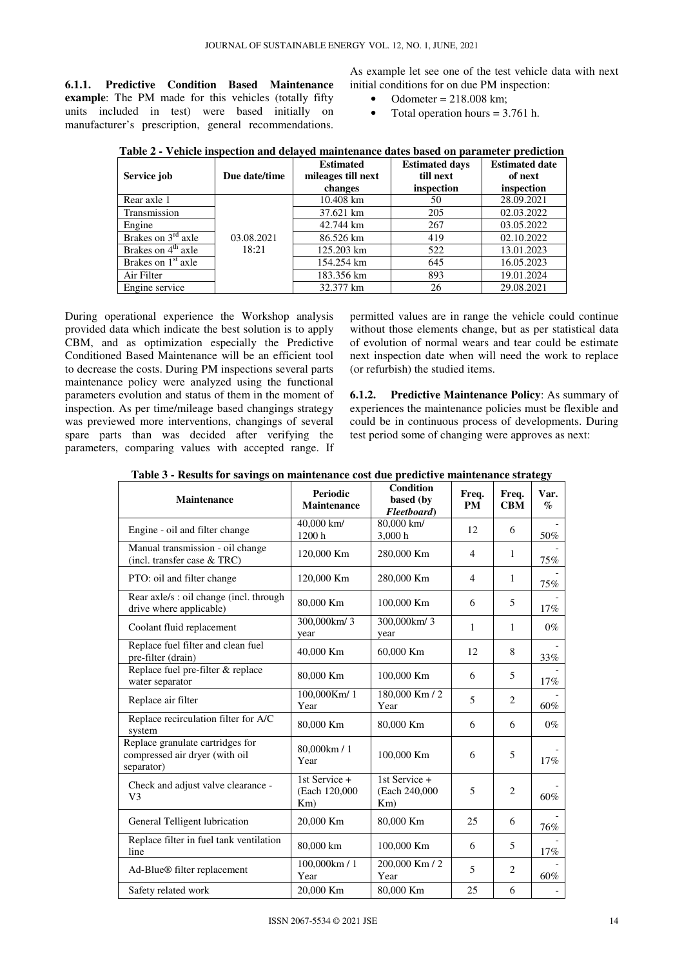**6.1.1. Predictive Condition Based Maintenance example**: The PM made for this vehicles (totally fifty units included in test) were based initially on manufacturer's prescription, general recommendations.

As example let see one of the test vehicle data with next initial conditions for on due PM inspection:

- Odometer = 218.008 km;
- Total operation hours  $= 3.761$  h.

| Service job                    | Due date/time | <b>Estimated</b><br>mileages till next<br>changes | <b>Estimated days</b><br>till next<br>inspection | <b>Estimated date</b><br>of next<br>inspection |
|--------------------------------|---------------|---------------------------------------------------|--------------------------------------------------|------------------------------------------------|
| Rear axle 1                    |               | $10.408 \text{ km}$                               | 50                                               | 28.09.2021                                     |
| Transmission                   |               | 37.621 km                                         | 205                                              | 02.03.2022                                     |
| Engine                         |               | 42.744 km                                         | 267                                              | 03.05.2022                                     |
| Brakes on 3 <sup>rd</sup> axle | 03.08.2021    | 86.526 km                                         | 419                                              | 02.10.2022                                     |
| Brakes on $4th$ axle           | 18:21         | 125.203 km                                        | 522                                              | 13.01.2023                                     |
| Brakes on 1 <sup>st</sup> axle |               | 154.254 km                                        | 645                                              | 16.05.2023                                     |
| Air Filter                     |               | 183.356 km                                        | 893                                              | 19.01.2024                                     |
| Engine service                 |               | 32.377 km                                         | 26                                               | 29.08.2021                                     |

**Table 2 - Vehicle inspection and delayed maintenance dates based on parameter prediction** 

During operational experience the Workshop analysis provided data which indicate the best solution is to apply CBM, and as optimization especially the Predictive Conditioned Based Maintenance will be an efficient tool to decrease the costs. During PM inspections several parts maintenance policy were analyzed using the functional parameters evolution and status of them in the moment of inspection. As per time/mileage based changings strategy was previewed more interventions, changings of several spare parts than was decided after verifying the parameters, comparing values with accepted range. If

permitted values are in range the vehicle could continue without those elements change, but as per statistical data of evolution of normal wears and tear could be estimate next inspection date when will need the work to replace (or refurbish) the studied items.

**6.1.2. Predictive Maintenance Policy**: As summary of experiences the maintenance policies must be flexible and could be in continuous process of developments. During test period some of changing were approves as next:

| Maintenance                                                                      | <b>Periodic</b><br><b>Maintenance</b>     | <b>Condition</b><br>based (by<br>Fleetboard) | Freq.<br><b>PM</b> | Freq.<br><b>CBM</b> | –.<br>Var.<br>$\mathcal{O}_{\mathcal{O}}$ |
|----------------------------------------------------------------------------------|-------------------------------------------|----------------------------------------------|--------------------|---------------------|-------------------------------------------|
| Engine - oil and filter change                                                   | 40,000 km/<br>1200h                       | 80,000 km/<br>3,000h                         | 12                 | 6                   | $50\%$                                    |
| Manual transmission - oil change<br>(incl. transfer case & TRC)                  | 120,000 Km                                | 280,000 Km                                   | 4                  | $\mathbf{1}$        | 75%                                       |
| PTO: oil and filter change                                                       | 120,000 Km                                | 280,000 Km                                   | $\overline{4}$     | $\mathbf{1}$        | 75%                                       |
| Rear axle/s : oil change (incl. through<br>drive where applicable)               | 80,000 Km                                 | 100,000 Km                                   | 6                  | 5                   | 17%                                       |
| Coolant fluid replacement                                                        | 300,000km/3<br>year                       | 300,000km/3<br>year                          | 1                  | $\mathbf{1}$        | $0\%$                                     |
| Replace fuel filter and clean fuel<br>pre-filter (drain)                         | 40,000 Km                                 | 60,000 Km                                    | 12                 | 8                   | 33%                                       |
| Replace fuel pre-filter & replace<br>water separator                             | 80,000 Km                                 | 100,000 Km                                   | 6                  | 5                   | $17\%$                                    |
| Replace air filter                                                               | 100,000Km/1<br>Year                       | 180,000 Km / 2<br>Year                       | 5                  | $\overline{c}$      | 60%                                       |
| Replace recirculation filter for A/C<br>system                                   | 80,000 Km                                 | 80,000 Km                                    | 6                  | 6                   | $0\%$                                     |
| Replace granulate cartridges for<br>compressed air dryer (with oil<br>separator) | 80,000km / 1<br>Year                      | 100,000 Km                                   | 6                  | 5                   | 17%                                       |
| Check and adjust valve clearance -<br>V <sub>3</sub>                             | 1st Service +<br>(Each 120,000)<br>$Km$ ) | 1st Service +<br>(Each 240,000)<br>$Km$ )    | 5                  | $\overline{2}$      | 60%                                       |
| General Telligent lubrication                                                    | 20,000 Km                                 | 80,000 Km                                    | 25                 | 6                   | 76%                                       |
| Replace filter in fuel tank ventilation<br>line                                  | 80,000 km                                 | 100,000 Km                                   | 6                  | 5                   | 17%                                       |
| Ad-Blue® filter replacement                                                      | 100,000km / 1<br>Year                     | 200,000 Km / 2<br>Year                       | 5                  | $\overline{2}$      | 60%                                       |
| Safety related work                                                              | 20,000 Km                                 | 80,000 Km                                    | 25                 | 6                   |                                           |

**Table 3 - Results for savings on maintenance cost due predictive maintenance strategy**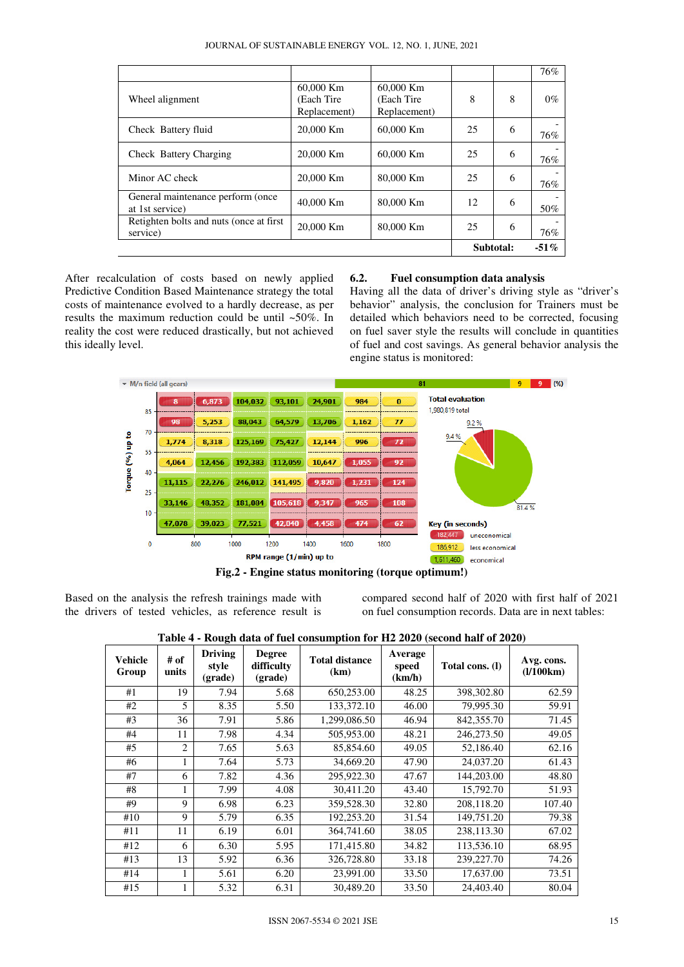JOURNAL OF SUSTAINABLE ENERGY VOL. 12, NO. 1, JUNE, 2021

|                                                      |                                          |                                          |         |   | 76%   |
|------------------------------------------------------|------------------------------------------|------------------------------------------|---------|---|-------|
| Wheel alignment                                      | 60,000 Km<br>(Each Tire)<br>Replacement) | 60,000 Km<br>(Each Tire)<br>Replacement) | 8       | 8 | $0\%$ |
| Check Battery fluid                                  | 20,000 Km                                | 60,000 Km                                | 25      | 6 | 76%   |
| Check Battery Charging                               | 20,000 Km                                | 60,000 Km                                | 25      | 6 | 76%   |
| Minor AC check                                       | 20,000 Km                                | 80,000 Km                                | 25      | 6 | 76%   |
| General maintenance perform (once<br>at 1st service) | 40,000 Km                                | 80,000 Km                                | 12      | 6 | 50%   |
| Retighten bolts and nuts (once at first)<br>service) | 20,000 Km                                | 80,000 Km                                | 25      | 6 | 76%   |
|                                                      |                                          | Subtotal:                                | $-51\%$ |   |       |

After recalculation of costs based on newly applied Predictive Condition Based Maintenance strategy the total costs of maintenance evolved to a hardly decrease, as per results the maximum reduction could be until ~50%. In reality the cost were reduced drastically, but not achieved this ideally level.

#### **6.2. Fuel consumption data analysis**

Having all the data of driver's driving style as "driver's behavior" analysis, the conclusion for Trainers must be detailed which behaviors need to be corrected, focusing on fuel saver style the results will conclude in quantities of fuel and cost savings. As general behavior analysis the engine status is monitored:



Based on the analysis the refresh trainings made with the drivers of tested vehicles, as reference result is compared second half of 2020 with first half of 2021 on fuel consumption records. Data are in next tables:

| Vehicle<br>Group | # of<br>units  | <b>Driving</b><br>style<br>(grade) | <b>Degree</b><br>difficulty<br>(grade) | <b>Total distance</b><br>(km) | Average<br>speed<br>(km/h) | Total cons. (I) | Avg. cons.<br>(1/100km) |
|------------------|----------------|------------------------------------|----------------------------------------|-------------------------------|----------------------------|-----------------|-------------------------|
| #1               | 19             | 7.94                               | 5.68                                   | 650,253.00                    | 48.25                      | 398,302.80      | 62.59                   |
| #2               | 5              | 8.35                               | 5.50                                   | 133,372.10                    | 46.00                      | 79,995.30       | 59.91                   |
| #3               | 36             | 7.91                               | 5.86                                   | 1,299,086.50                  | 46.94                      | 842, 355. 70    | 71.45                   |
| #4               | 11             | 7.98                               | 4.34                                   | 505,953.00                    | 48.21                      | 246,273.50      | 49.05                   |
| #5               | $\overline{c}$ | 7.65                               | 5.63                                   | 85,854.60                     | 49.05                      | 52,186.40       | 62.16                   |
| #6               | 1              | 7.64                               | 5.73                                   | 34,669.20                     | 47.90                      | 24,037.20       | 61.43                   |
| #7               | 6              | 7.82                               | 4.36                                   | 295,922.30                    | 47.67                      | 144,203.00      | 48.80                   |
| #8               | 1              | 7.99                               | 4.08                                   | 30,411.20                     | 43.40                      | 15,792.70       | 51.93                   |
| #9               | 9              | 6.98                               | 6.23                                   | 359,528.30                    | 32.80                      | 208,118.20      | 107.40                  |
| #10              | 9              | 5.79                               | 6.35                                   | 192,253.20                    | 31.54                      | 149,751.20      | 79.38                   |
| #11              | 11             | 6.19                               | 6.01                                   | 364,741.60                    | 38.05                      | 238,113.30      | 67.02                   |
| #12              | 6              | 6.30                               | 5.95                                   | 171,415.80                    | 34.82                      | 113,536.10      | 68.95                   |
| #13              | 13             | 5.92                               | 6.36                                   | 326,728.80                    | 33.18                      | 239, 227. 70    | 74.26                   |
| #14              | 1              | 5.61                               | 6.20                                   | 23,991.00                     | 33.50                      | 17,637.00       | 73.51                   |
| #15              | 1              | 5.32                               | 6.31                                   | 30,489.20                     | 33.50                      | 24,403.40       | 80.04                   |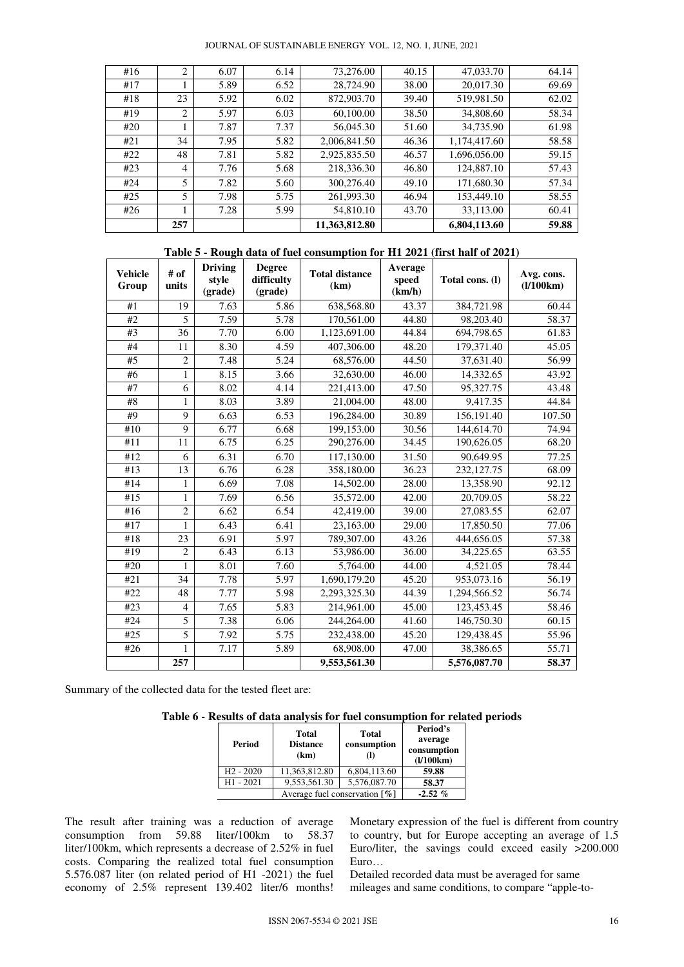| #16 | 2              | 6.07 | 6.14 | 73,276.00     | 40.15 | 47,033.70    | 64.14 |
|-----|----------------|------|------|---------------|-------|--------------|-------|
| #17 |                | 5.89 | 6.52 | 28,724.90     | 38.00 | 20,017.30    | 69.69 |
| #18 | 23             | 5.92 | 6.02 | 872,903.70    | 39.40 | 519,981.50   | 62.02 |
| #19 | 2              | 5.97 | 6.03 | 60,100.00     | 38.50 | 34,808.60    | 58.34 |
| #20 |                | 7.87 | 7.37 | 56,045.30     | 51.60 | 34,735.90    | 61.98 |
| #21 | 34             | 7.95 | 5.82 | 2,006,841.50  | 46.36 | 1,174,417.60 | 58.58 |
| #22 | 48             | 7.81 | 5.82 | 2,925,835.50  | 46.57 | 1.696.056.00 | 59.15 |
| #23 | $\overline{4}$ | 7.76 | 5.68 | 218,336.30    | 46.80 | 124,887.10   | 57.43 |
| #24 | 5              | 7.82 | 5.60 | 300,276.40    | 49.10 | 171,680.30   | 57.34 |
| #25 | 5              | 7.98 | 5.75 | 261,993.30    | 46.94 | 153,449.10   | 58.55 |
| #26 |                | 7.28 | 5.99 | 54,810.10     | 43.70 | 33,113.00    | 60.41 |
|     | 257            |      |      | 11,363,812.80 |       | 6,804,113.60 | 59.88 |

| Table 5 - Rough data of fuel consumption for H1 2021 (first half of 2021) |  |  |  |  |
|---------------------------------------------------------------------------|--|--|--|--|
|---------------------------------------------------------------------------|--|--|--|--|

| <b>Vehicle</b><br>Group | $\#$ of<br>units | <b>Driving</b><br>style<br>(grade) | <b>Degree</b><br>difficulty<br>(grade) | <b>Total distance</b><br>(km) | Average<br>speed<br>(km/h) | Total cons. (I) | Avg. cons.<br>(1/100km) |
|-------------------------|------------------|------------------------------------|----------------------------------------|-------------------------------|----------------------------|-----------------|-------------------------|
| #1                      | 19               | 7.63                               | 5.86                                   | 638,568.80                    | 43.37                      | 384,721.98      | 60.44                   |
| #2                      | 5                | 7.59                               | $\overline{5.78}$                      | 170,561.00                    | 44.80                      | 98,203.40       | 58.37                   |
| #3                      | 36               | 7.70                               | 6.00                                   | 1.123.691.00                  | 44.84                      | 694,798.65      | 61.83                   |
| #4                      | 11               | 8.30                               | 4.59                                   | 407,306.00                    | 48.20                      | 179,371.40      | 45.05                   |
| #5                      | $\overline{2}$   | 7.48                               | 5.24                                   | 68,576.00                     | 44.50                      | 37,631.40       | 56.99                   |
| #6                      | $\mathbf{1}$     | 8.15                               | 3.66                                   | 32,630.00                     | 46.00                      | 14,332.65       | 43.92                   |
| #7                      | 6                | 8.02                               | 4.14                                   | 221,413.00                    | 47.50                      | 95,327.75       | 43.48                   |
| #8                      | $\mathbf{1}$     | 8.03                               | 3.89                                   | 21,004.00                     | 48.00                      | 9,417.35        | 44.84                   |
| #9                      | 9                | 6.63                               | 6.53                                   | 196,284.00                    | 30.89                      | 156,191.40      | 107.50                  |
| $\#10$                  | 9                | 6.77                               | 6.68                                   | 199,153.00                    | 30.56                      | 144,614.70      | 74.94                   |
| #11                     | 11               | 6.75                               | 6.25                                   | 290,276.00                    | 34.45                      | 190,626.05      | 68.20                   |
| #12                     | 6                | 6.31                               | 6.70                                   | 117,130.00                    | 31.50                      | 90,649.95       | 77.25                   |
| #13                     | 13               | 6.76                               | 6.28                                   | 358,180.00                    | 36.23                      | 232, 127. 75    | 68.09                   |
| #14                     | 1                | 6.69                               | 7.08                                   | 14,502.00                     | 28.00                      | 13,358.90       | 92.12                   |
| #15                     | 1                | 7.69                               | 6.56                                   | 35,572.00                     | 42.00                      | 20,709.05       | 58.22                   |
| #16                     | $\overline{2}$   | 6.62                               | 6.54                                   | 42,419.00                     | 39.00                      | 27,083.55       | 62.07                   |
| #17                     | 1                | 6.43                               | 6.41                                   | 23,163.00                     | 29.00                      | 17,850.50       | 77.06                   |
| #18                     | 23               | 6.91                               | 5.97                                   | 789,307.00                    | 43.26                      | 444,656.05      | 57.38                   |
| #19                     | $\overline{2}$   | 6.43                               | 6.13                                   | 53,986.00                     | 36.00                      | 34,225.65       | 63.55                   |
| #20                     | 1                | 8.01                               | 7.60                                   | 5,764.00                      | 44.00                      | 4,521.05        | 78.44                   |
| #21                     | 34               | 7.78                               | 5.97                                   | 1,690,179.20                  | 45.20                      | 953,073.16      | 56.19                   |
| #22                     | 48               | 7.77                               | 5.98                                   | 2,293,325.30                  | 44.39                      | 1,294,566.52    | 56.74                   |
| #23                     | $\overline{4}$   | 7.65                               | 5.83                                   | 214,961.00                    | 45.00                      | 123,453.45      | 58.46                   |
| #24                     | 5                | 7.38                               | 6.06                                   | 244,264.00                    | 41.60                      | 146,750.30      | 60.15                   |
| #25                     | 5                | 7.92                               | 5.75                                   | 232,438.00                    | 45.20                      | 129,438.45      | 55.96                   |
| #26                     | $\mathbf{1}$     | 7.17                               | 5.89                                   | 68,908.00                     | 47.00                      | 38,386.65       | 55.71                   |
|                         | 257              |                                    |                                        | 9,553,561.30                  |                            | 5,576,087.70    | 58.37                   |

Summary of the collected data for the tested fleet are:

**Table 6 - Results of data analysis for fuel consumption for related periods** 

| Period      | Total<br><b>Distance</b><br>(km)             | <b>Total</b><br>consumption | Period's<br>average<br>consumption<br>(1/100km) |
|-------------|----------------------------------------------|-----------------------------|-------------------------------------------------|
| $H2 - 2020$ | 11,363,812.80                                | 6,804,113.60                | 59.88                                           |
| $H1 - 2021$ | 9,553,561.30                                 | 5,576,087.70                | 58.37                                           |
|             | Average fuel conservation $\lceil \% \rceil$ | $-2.52\%$                   |                                                 |

The result after training was a reduction of average consumption from 59.88 liter/100km to 58.37 liter/100km, which represents a decrease of 2.52% in fuel costs. Comparing the realized total fuel consumption 5.576.087 liter (on related period of H1 -2021) the fuel economy of 2.5% represent 139.402 liter/6 months! Monetary expression of the fuel is different from country to country, but for Europe accepting an average of 1.5 Euro/liter, the savings could exceed easily >200.000 Euro…

Detailed recorded data must be averaged for same mileages and same conditions, to compare "apple-to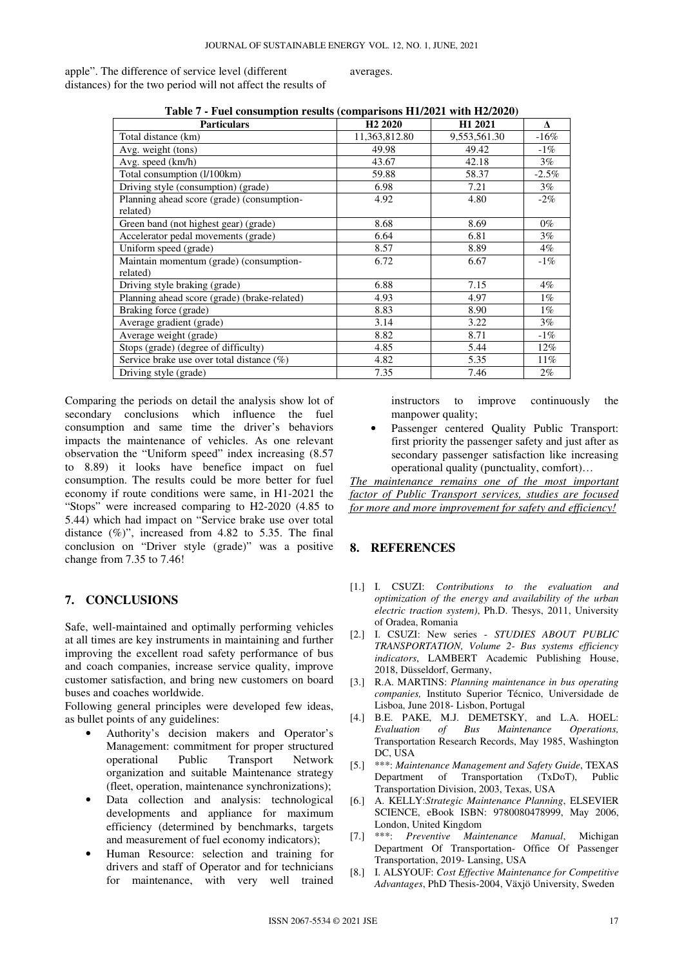apple". The difference of service level (different distances) for the two period will not affect the results of

averages.

| <b>Particulars</b>                           | H <sub>2</sub> 2020 | H1 2021      | ٨       |
|----------------------------------------------|---------------------|--------------|---------|
| Total distance (km)                          | 11,363,812.80       | 9,553,561.30 | $-16\%$ |
| Avg. weight (tons)                           | 49.98               | 49.42        | $-1\%$  |
| Avg. speed (km/h)                            | 43.67               | 42.18        | $3\%$   |
| Total consumption (l/100km)                  | 59.88               | 58.37        | $-2.5%$ |
| Driving style (consumption) (grade)          | 6.98                | 7.21         | $3\%$   |
| Planning ahead score (grade) (consumption-   | 4.92                | 4.80         | $-2\%$  |
| related)                                     |                     |              |         |
| Green band (not highest gear) (grade)        | 8.68                | 8.69         | $0\%$   |
| Accelerator pedal movements (grade)          | 6.64                | 6.81         | $3\%$   |
| Uniform speed (grade)                        | 8.57                | 8.89         | $4\%$   |
| Maintain momentum (grade) (consumption-      | 6.72                | 6.67         | $-1\%$  |
| related)                                     |                     |              |         |
| Driving style braking (grade)                | 6.88                | 7.15         | $4\%$   |
| Planning ahead score (grade) (brake-related) | 4.93                | 4.97         | $1\%$   |
| Braking force (grade)                        | 8.83                | 8.90         | $1\%$   |
| Average gradient (grade)                     | 3.14                | 3.22         | $3\%$   |
| Average weight (grade)                       | 8.82                | 8.71         | $-1\%$  |
| Stops (grade) (degree of difficulty)         | 4.85                | 5.44         | $12\%$  |
| Service brake use over total distance $(\%)$ | 4.82                | 5.35         | 11%     |
| Driving style (grade)                        | 7.35                | 7.46         | $2\%$   |

**Table 7 - Fuel consumption results (comparisons H1/2021 with H2/2020)** 

Comparing the periods on detail the analysis show lot of secondary conclusions which influence the fuel consumption and same time the driver's behaviors impacts the maintenance of vehicles. As one relevant observation the "Uniform speed" index increasing (8.57 to 8.89) it looks have benefice impact on fuel consumption. The results could be more better for fuel economy if route conditions were same, in H1-2021 the "Stops" were increased comparing to H2-2020 (4.85 to 5.44) which had impact on "Service brake use over total distance (%)", increased from 4.82 to 5.35. The final conclusion on "Driver style (grade)" was a positive change from 7.35 to 7.46!

# **7. CONCLUSIONS**

Safe, well-maintained and optimally performing vehicles at all times are key instruments in maintaining and further improving the excellent road safety performance of bus and coach companies, increase service quality, improve customer satisfaction, and bring new customers on board buses and coaches worldwide.

Following general principles were developed few ideas, as bullet points of any guidelines:

- Authority's decision makers and Operator's Management: commitment for proper structured operational Public Transport Network organization and suitable Maintenance strategy (fleet, operation, maintenance synchronizations);
- Data collection and analysis: technological developments and appliance for maximum efficiency (determined by benchmarks, targets and measurement of fuel economy indicators);
- Human Resource: selection and training for drivers and staff of Operator and for technicians for maintenance, with very well trained

instructors to improve continuously the manpower quality;

Passenger centered Quality Public Transport: first priority the passenger safety and just after as secondary passenger satisfaction like increasing operational quality (punctuality, comfort)…

*The maintenance remains one of the most important factor of Public Transport services, studies are focused for more and more improvement for safety and efficiency!*

# **8. REFERENCES**

- [1.] I. CSUZI: *Contributions to the evaluation and optimization of the energy and availability of the urban electric traction system)*, Ph.D. Thesys, 2011, University of Oradea, Romania
- [2.] I. CSUZI: New series *STUDIES ABOUT PUBLIC TRANSPORTATION, Volume 2- Bus systems efficiency indicators*, LAMBERT Academic Publishing House, 2018, Düsseldorf, Germany,
- [3.] R.A. MARTINS: *Planning maintenance in bus operating companies,* Instituto Superior Técnico, Universidade de Lisboa, June 2018- Lisbon, Portugal
- [4.] B.E. PAKE, M.J. DEMETSKY, and L.A. HOEL: *Evaluation of Bus Maintenance Operations,* Transportation Research Records, May 1985, Washington DC, USA
- [5.] \*\*\*: *Maintenance Management and Safety Guide*, TEXAS Department of Transportation (TxDoT), Public Transportation Division, 2003, Texas, USA
- [6.] A. KELLY:*Strategic Maintenance Planning*, ELSEVIER SCIENCE, eBook ISBN: 9780080478999, May 2006, London, United Kingdom
- [7.] \*\*\*: *Preventive Maintenance Manual*, Michigan Department Of Transportation- Office Of Passenger Transportation, 2019- Lansing, USA
- [8.] I. ALSYOUF: *Cost Effective Maintenance for Competitive Advantages*, PhD Thesis-2004, Växjö University, Sweden